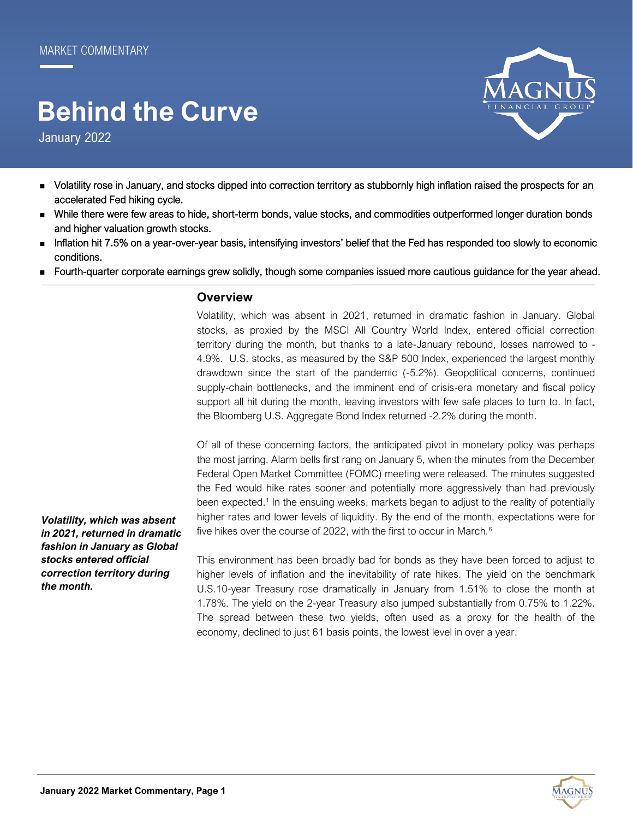# **Behind the Curve**

January 2022

- 
- Volatility rose in January, and stocks dipped into correction territory as stubbornly high inflation raised the prospects for an accelerated Fed hiking cycle.
- While there were few areas to hide, short-term bonds, value stocks, and commodities outperformed longer duration bonds and higher valuation growth stocks.
- Inflation hit 7.5% on a year-over-year basis, intensifying investors' belief that the Fed has responded too slowly to economic conditions.
- Fourth-quarter corporate earnings grew solidly, though some companies issued more cautious guidance for the year ahead.

## **Overview**

Volatility, which was absent in 2021, returned in dramatic fashion in January. Global stocks, as proxied by the MSCI All Country World Index, entered official correction territory during the month, but thanks to a late-January rebound, losses narrowed to - 4.9%. U.S. stocks, as measured by the S&P 500 Index, experienced the largest monthly drawdown since the start of the pandemic (-5.2%). Geopolitical concerns, continued supply-chain bottlenecks, and the imminent end of crisis-era monetary and fiscal policy support all hit during the month, leaving investors with few safe places to turn to. In fact, the Bloomberg U.S. Aggregate Bond Index returned -2.2% during the month.

Of all of these concerning factors, the anticipated pivot in monetary policy was perhaps the most jarring. Alarm bells first rang on January 5, when the minutes from the December Federal Open Market Committee (FOMC) meeting were released. The minutes suggested the Fed would hike rates sooner and potentially more aggressively than had previously been expected.<sup>1</sup> In the ensuing weeks, markets began to adjust to the reality of potentially higher rates and lower levels of liquidity. By the end of the month, expectations were for five hikes over the course of 2022, with the first to occur in March.<sup>6</sup>

This environment has been broadly bad for bonds as they have been forced to adjust to higher levels of inflation and the inevitability of rate hikes. The yield on the benchmark U.S.10-year Treasury rose dramatically in January from 1.51% to close the month at 1.78%. The yield on the 2-year Treasury also jumped substantially from 0.75% to 1.22%. The spread between these two yields, often used as a proxy for the health of the economy, declined to just 61 basis points, the lowest level in over a year.

*Volatility, which was absent in 2021, returned in dramatic fashion in January as Global stocks entered official correction territory during the month.*

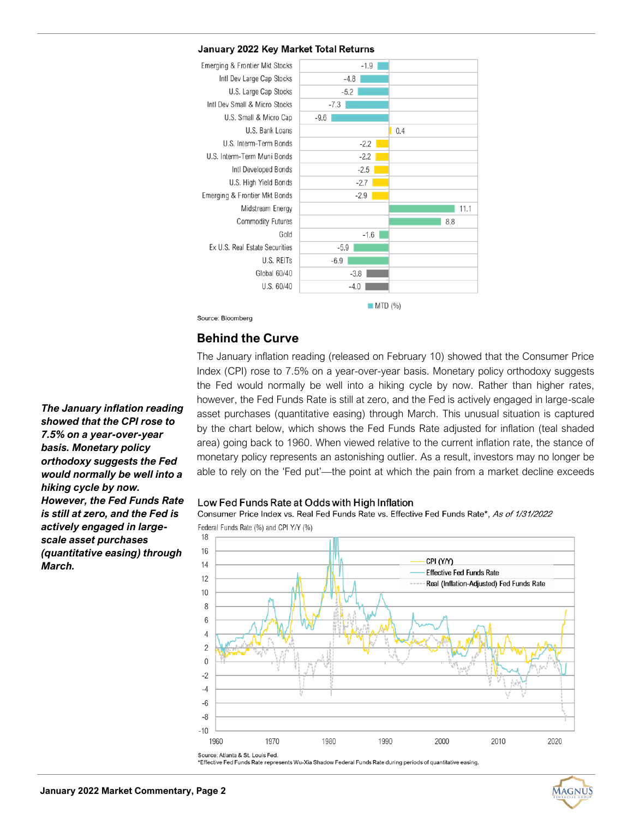## January 2022 Key Market Total Returns



Source: Bloomberg

## **Behind the Curve**

The January inflation reading (released on February 10) showed that the Consumer Price Index (CPI) rose to 7.5% on a year-over-year basis. Monetary policy orthodoxy suggests the Fed would normally be well into a hiking cycle by now. Rather than higher rates, however, the Fed Funds Rate is still at zero, and the Fed is actively engaged in large-scale asset purchases (quantitative easing) through March. This unusual situation is captured by the chart below, which shows the Fed Funds Rate adjusted for inflation (teal shaded area) going back to 1960. When viewed relative to the current inflation rate, the stance of monetary policy represents an astonishing outlier. As a result, investors may no longer be able to rely on the 'Fed put'—the point at which the pain from a market decline exceeds

### Low Fed Funds Rate at Odds with High Inflation

Consumer Price Index vs. Real Fed Funds Rate vs. Effective Fed Funds Rate\*, As of 1/31/2022 Federal Funds Rate (%) and CPI Y/Y (%)



\*Effective Fed Funds Rate represents Wu-Xia Shadow Federal Funds Rate during periods of quantitative easing

*The January inflation reading showed that the CPI rose to 7.5% on a year-over-year basis. Monetary policy orthodoxy suggests the Fed would normally be well into a hiking cycle by now. However, the Fed Funds Rate is still at zero, and the Fed is actively engaged in largescale asset purchases (quantitative easing) through March.* 

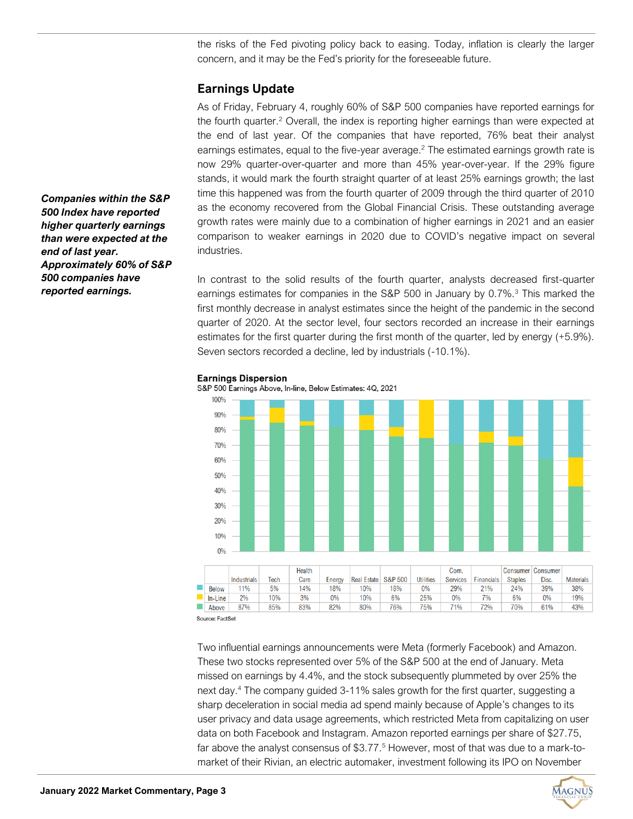the risks of the Fed pivoting policy back to easing. Today, inflation is clearly the larger concern, and it may be the Fed's priority for the foreseeable future.

# **Earnings Update**

As of Friday, February 4, roughly 60% of S&P 500 companies have reported earnings for the fourth quarter.<sup>2</sup> Overall, the index is reporting higher earnings than were expected at the end of last year. Of the companies that have reported, 76% beat their analyst earnings estimates, equal to the five-year average.<sup>2</sup> The estimated earnings growth rate is now 29% quarter-over-quarter and more than 45% year-over-year. If the 29% figure stands, it would mark the fourth straight quarter of at least 25% earnings growth; the last time this happened was from the fourth quarter of 2009 through the third quarter of 2010 as the economy recovered from the Global Financial Crisis. These outstanding average growth rates were mainly due to a combination of higher earnings in 2021 and an easier comparison to weaker earnings in 2020 due to COVID's negative impact on several industries.

In contrast to the solid results of the fourth quarter, analysts decreased first-quarter earnings estimates for companies in the S&P 500 in January by 0.7%.<sup>3</sup> This marked the first monthly decrease in analyst estimates since the height of the pandemic in the second quarter of 2020. At the sector level, four sectors recorded an increase in their earnings estimates for the first quarter during the first month of the quarter, led by energy (+5.9%). Seven sectors recorded a decline, led by industrials (-10.1%).



### **Earnings Dispersion**

S&P 500 Earnings Above, In-line, Below Estimates: 4Q, 2021

Source: FactSet

Two influential earnings announcements were Meta (formerly Facebook) and Amazon. These two stocks represented over 5% of the S&P 500 at the end of January. Meta missed on earnings by 4.4%, and the stock subsequently plummeted by over 25% the next day.<sup>4</sup> The company guided 3-11% sales growth for the first quarter, suggesting a sharp deceleration in social media ad spend mainly because of Apple's changes to its user privacy and data usage agreements, which restricted Meta from capitalizing on user data on both Facebook and Instagram. Amazon reported earnings per share of \$27.75, far above the analyst consensus of \$3.77.<sup>5</sup> However, most of that was due to a mark-tomarket of their Rivian, an electric automaker, investment following its IPO on November

*Companies within the S&P 500 Index have reported higher quarterly earnings than were expected at the end of last year. Approximately 60% of S&P 500 companies have reported earnings.*

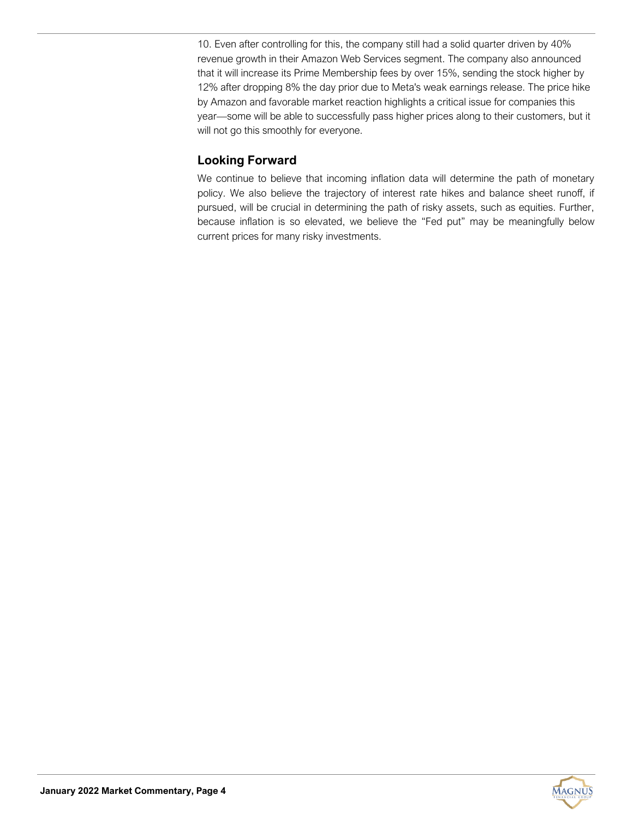10. Even after controlling for this, the company still had a solid quarter driven by 40% revenue growth in their Amazon Web Services segment. The company also announced that it will increase its Prime Membership fees by over 15%, sending the stock higher by 12% after dropping 8% the day prior due to Meta's weak earnings release. The price hike by Amazon and favorable market reaction highlights a critical issue for companies this year—some will be able to successfully pass higher prices along to their customers, but it will not go this smoothly for everyone.

# **Looking Forward**

We continue to believe that incoming inflation data will determine the path of monetary policy. We also believe the trajectory of interest rate hikes and balance sheet runoff, if pursued, will be crucial in determining the path of risky assets, such as equities. Further, because inflation is so elevated, we believe the "Fed put" may be meaningfully below current prices for many risky investments.

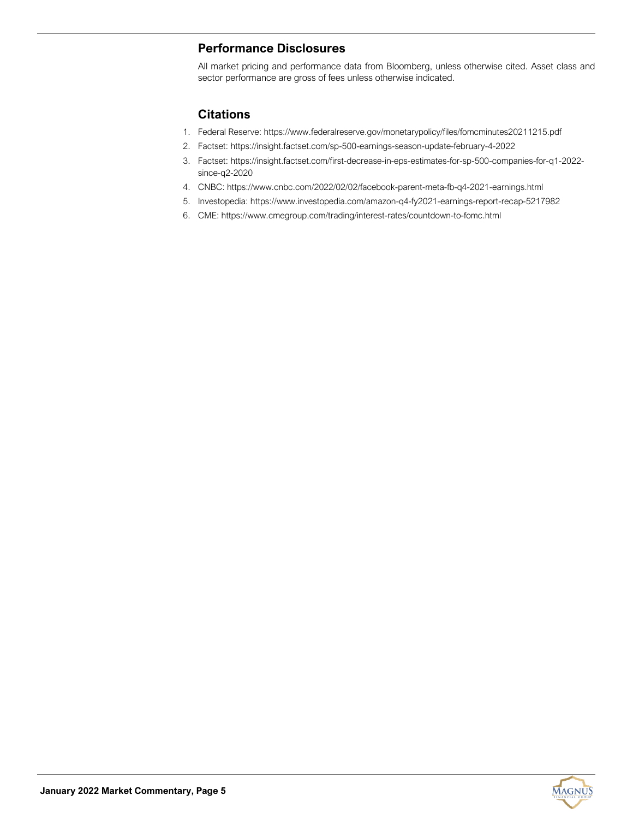# **Performance Disclosures**

All market pricing and performance data from Bloomberg, unless otherwise cited. Asset class and sector performance are gross of fees unless otherwise indicated.

# **Citations**

- 1. Federal Reserve: https://www.federalreserve.gov/monetarypolicy/files/fomcminutes20211215.pdf
- 2. Factset: https://insight.factset.com/sp-500-earnings-season-update-february-4-2022
- 3. Factset: https://insight.factset.com/first-decrease-in-eps-estimates-for-sp-500-companies-for-q1-2022 since-q2-2020
- 4. CNBC: https://www.cnbc.com/2022/02/02/facebook-parent-meta-fb-q4-2021-earnings.html
- 5. Investopedia: https://www.investopedia.com/amazon-q4-fy2021-earnings-report-recap-5217982
- 6. CME: https://www.cmegroup.com/trading/interest-rates/countdown-to-fomc.html